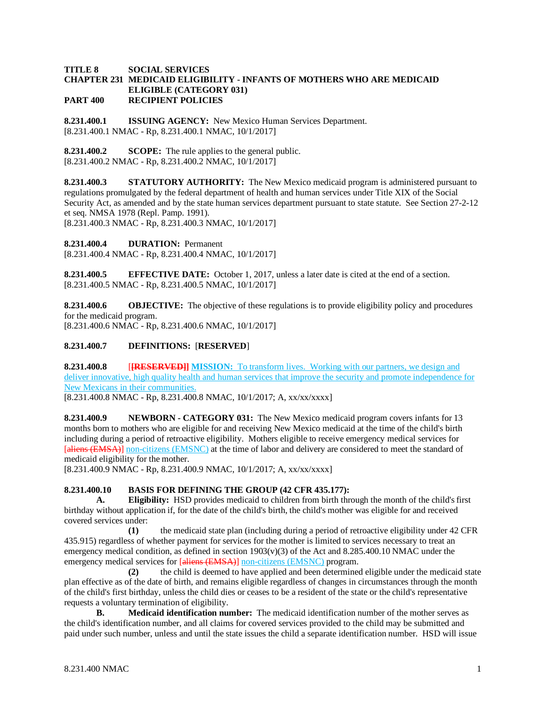#### **TITLE 8 SOCIAL SERVICES CHAPTER 231 MEDICAID ELIGIBILITY - INFANTS OF MOTHERS WHO ARE MEDICAID ELIGIBLE (CATEGORY 031) PART 400 RECIPIENT POLICIES**

**8.231.400.1 ISSUING AGENCY:** New Mexico Human Services Department. [8.231.400.1 NMAC - Rp, 8.231.400.1 NMAC, 10/1/2017]

**8.231.400.2 SCOPE:** The rule applies to the general public.  $[8.231.400.2 \text{ NMAC - Rp}, 8.231.400.2 \text{ NMAC}, 10/1/2017]$ 

**8.231.400.3 STATUTORY AUTHORITY:** The New Mexico medicaid program is administered pursuant to regulations promulgated by the federal department of health and human services under Title XIX of the Social Security Act, as amended and by the state human services department pursuant to state statute. See Section 27-2-12 et seq. NMSA 1978 (Repl. Pamp. 1991).

[8.231.400.3 NMAC - Rp, 8.231.400.3 NMAC, 10/1/2017]

**8.231.400.4 DURATION:** Permanent

[8.231.400.4 NMAC - Rp, 8.231.400.4 NMAC, 10/1/2017]

**8.231.400.5 EFFECTIVE DATE:** October 1, 2017, unless a later date is cited at the end of a section. [8.231.400.5 NMAC - Rp, 8.231.400.5 NMAC, 10/1/2017]

**8.231.400.6 OBJECTIVE:** The objective of these regulations is to provide eligibility policy and procedures for the medicaid program.

[8.231.400.6 NMAC - Rp, 8.231.400.6 NMAC, 10/1/2017]

### **8.231.400.7 DEFINITIONS:** [**RESERVED**]

**8.231.400.8 [[RESERVED]] MISSION:** To transform lives. Working with our partners, we design and deliver innovative, high quality health and human services that improve the security and promote independence for New Mexicans in their communities.

[8.231.400.8 NMAC - Rp, 8.231.400.8 NMAC, 10/1/2017; A, xx/xx/xxxx]

**8.231.400.9 NEWBORN - CATEGORY 031:** The New Mexico medicaid program covers infants for 13 months born to mothers who are eligible for and receiving New Mexico medicaid at the time of the child's birth including during a period of retroactive eligibility. Mothers eligible to receive emergency medical services for [aliens (EMSA)] non-citizens (EMSNC) at the time of labor and delivery are considered to meet the standard of medicaid eligibility for the mother.

[8.231.400.9 NMAC - Rp, 8.231.400.9 NMAC, 10/1/2017; A, xx/xx/xxxx]

### **8.231.400.10 BASIS FOR DEFINING THE GROUP (42 CFR 435.177):**

**A. Eligibility:** HSD provides medicaid to children from birth through the month of the child's first birthday without application if, for the date of the child's birth, the child's mother was eligible for and received covered services under:

**(1)** the medicaid state plan (including during a period of retroactive eligibility under 42 CFR 435.915) regardless of whether payment for services for the mother is limited to services necessary to treat an emergency medical condition, as defined in section  $1903(v)(3)$  of the Act and 8.285.400.10 NMAC under the emergency medical services for [aliens (EMSA)] non-citizens (EMSNC) program.

**(2)** the child is deemed to have applied and been determined eligible under the medicaid state plan effective as of the date of birth, and remains eligible regardless of changes in circumstances through the month of the child's first birthday, unless the child dies or ceases to be a resident of the state or the child's representative requests a voluntary termination of eligibility.

**B. Medicaid identification number:** The medicaid identification number of the mother serves as the child's identification number, and all claims for covered services provided to the child may be submitted and paid under such number, unless and until the state issues the child a separate identification number. HSD will issue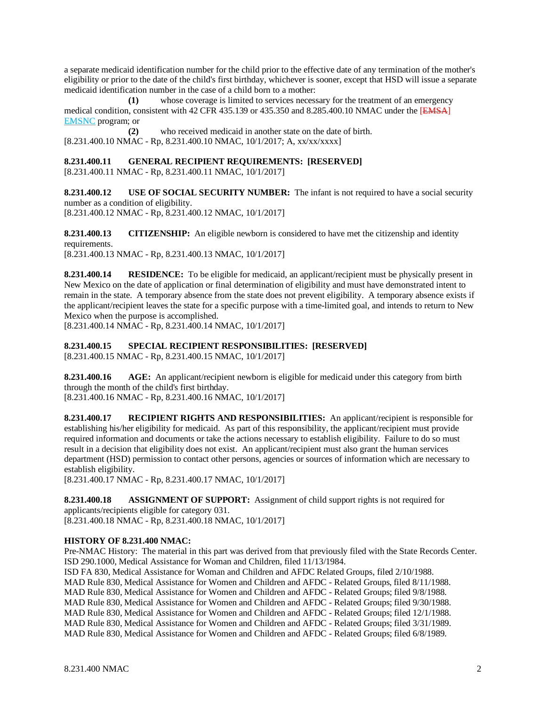a separate medicaid identification number for the child prior to the effective date of any termination of the mother's eligibility or prior to the date of the child's first birthday, whichever is sooner, except that HSD will issue a separate medicaid identification number in the case of a child born to a mother:

**(1)** whose coverage is limited to services necessary for the treatment of an emergency medical condition, consistent with 42 CFR 435.139 or 435.350 and 8.285.400.10 NMAC under the [EMSA] EMSNC program; or

**(2)** who received medicaid in another state on the date of birth. [8.231.400.10 NMAC - Rp, 8.231.400.10 NMAC, 10/1/2017; A, xx/xx/xxxx]

# **8.231.400.11 GENERAL RECIPIENT REQUIREMENTS: [RESERVED]**

[8.231.400.11 NMAC - Rp, 8.231.400.11 NMAC, 10/1/2017]

**8.231.400.12 USE OF SOCIAL SECURITY NUMBER:** The infant is not required to have a social security number as a condition of eligibility.

[8.231.400.12 NMAC - Rp, 8.231.400.12 NMAC, 10/1/2017]

**8.231.400.13 CITIZENSHIP:** An eligible newborn is considered to have met the citizenship and identity requirements.

[8.231.400.13 NMAC - Rp, 8.231.400.13 NMAC, 10/1/2017]

**8.231.400.14 RESIDENCE:** To be eligible for medicaid, an applicant/recipient must be physically present in New Mexico on the date of application or final determination of eligibility and must have demonstrated intent to remain in the state. A temporary absence from the state does not prevent eligibility. A temporary absence exists if the applicant/recipient leaves the state for a specific purpose with a time-limited goal, and intends to return to New Mexico when the purpose is accomplished.

[8.231.400.14 NMAC - Rp, 8.231.400.14 NMAC, 10/1/2017]

### **8.231.400.15 SPECIAL RECIPIENT RESPONSIBILITIES: [RESERVED]**

[8.231.400.15 NMAC - Rp, 8.231.400.15 NMAC, 10/1/2017]

**8.231.400.16 AGE:** An applicant/recipient newborn is eligible for medicaid under this category from birth through the month of the child's first birthday. [8.231.400.16 NMAC - Rp, 8.231.400.16 NMAC, 10/1/2017]

**8.231.400.17 RECIPIENT RIGHTS AND RESPONSIBILITIES:** An applicant/recipient is responsible for establishing his/her eligibility for medicaid. As part of this responsibility, the applicant/recipient must provide required information and documents or take the actions necessary to establish eligibility. Failure to do so must result in a decision that eligibility does not exist. An applicant/recipient must also grant the human services department (HSD) permission to contact other persons, agencies or sources of information which are necessary to establish eligibility.

[8.231.400.17 NMAC - Rp, 8.231.400.17 NMAC, 10/1/2017]

**8.231.400.18 ASSIGNMENT OF SUPPORT:** Assignment of child support rights is not required for applicants/recipients eligible for category 031. [8.231.400.18 NMAC - Rp, 8.231.400.18 NMAC, 10/1/2017]

### **HISTORY OF 8.231.400 NMAC:**

Pre-NMAC History: The material in this part was derived from that previously filed with the State Records Center. ISD 290.1000, Medical Assistance for Woman and Children, filed 11/13/1984.

ISD FA 830, Medical Assistance for Woman and Children and AFDC Related Groups, filed 2/10/1988. MAD Rule 830, Medical Assistance for Women and Children and AFDC - Related Groups, filed 8/11/1988. MAD Rule 830, Medical Assistance for Women and Children and AFDC - Related Groups; filed 9/8/1988. MAD Rule 830, Medical Assistance for Women and Children and AFDC - Related Groups; filed 9/30/1988. MAD Rule 830, Medical Assistance for Women and Children and AFDC - Related Groups; filed 12/1/1988. MAD Rule 830, Medical Assistance for Women and Children and AFDC - Related Groups; filed 3/31/1989. MAD Rule 830, Medical Assistance for Women and Children and AFDC - Related Groups; filed 6/8/1989.